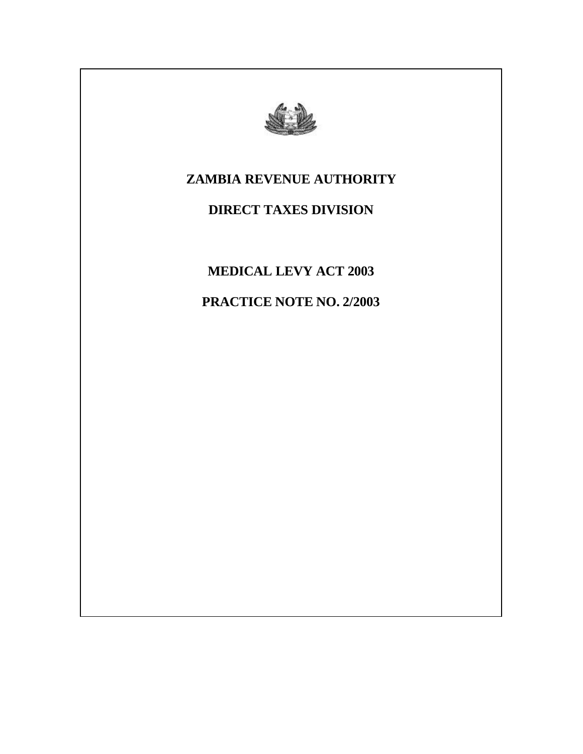

# **ZAMBIA REVENUE AUTHORITY**

# **DIRECT TAXES DIVISION**

**MEDICAL LEVY ACT 2003**

**PRACTICE NOTE NO. 2/2003**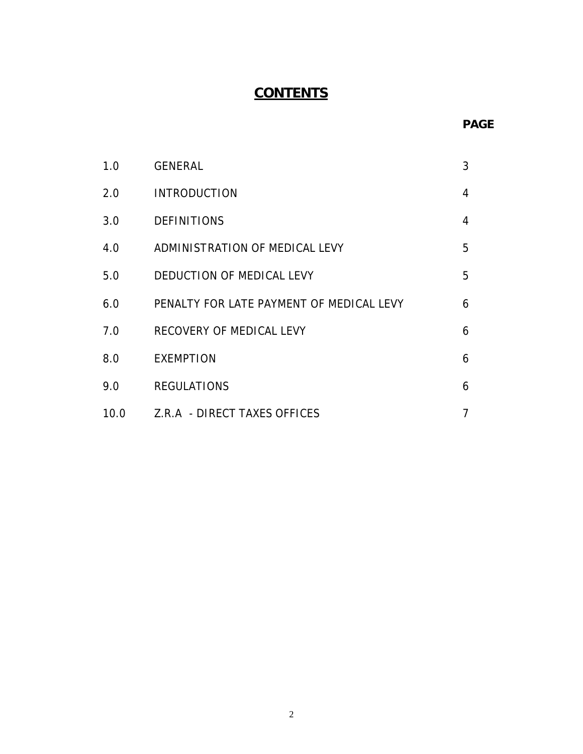# **CONTENTS**

# **PAGE**

| 1.0  | <b>GENERAL</b>                           | 3 |
|------|------------------------------------------|---|
| 2.0  | <b>INTRODUCTION</b>                      | 4 |
| 3.0  | <b>DEFINITIONS</b>                       | 4 |
| 4.0  | ADMINISTRATION OF MEDICAL LEVY           | 5 |
| 5.0  | DEDUCTION OF MEDICAL LEVY                | 5 |
| 6.0  | PENALTY FOR LATE PAYMENT OF MEDICAL LEVY | 6 |
| 7.0  | RECOVERY OF MEDICAL LEVY                 | 6 |
| 8.0  | <b>EXEMPTION</b>                         | 6 |
| 9.0  | <b>REGULATIONS</b>                       | 6 |
| 10.0 | Z.R.A - DIRECT TAXES OFFICES             |   |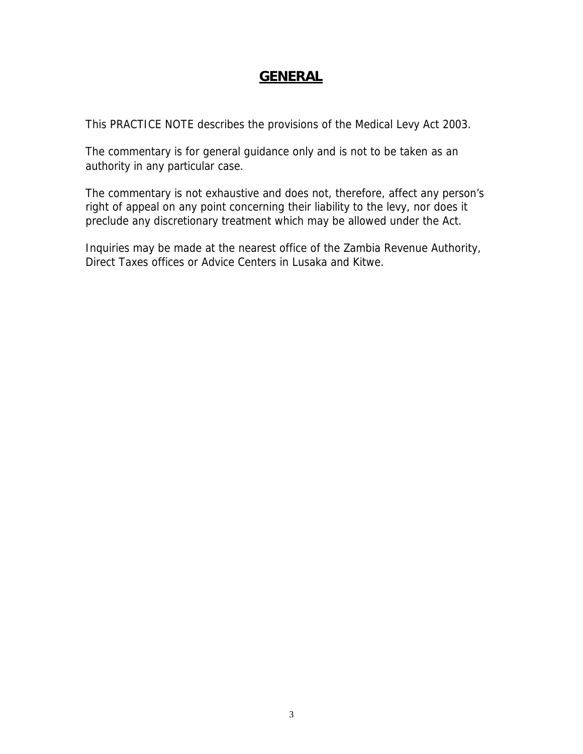# **GENERAL**

This PRACTICE NOTE describes the provisions of the Medical Levy Act 2003.

The commentary is for general guidance only and is not to be taken as an authority in any particular case.

The commentary is not exhaustive and does not, therefore, affect any person's right of appeal on any point concerning their liability to the levy, nor does it preclude any discretionary treatment which may be allowed under the Act.

Inquiries may be made at the nearest office of the Zambia Revenue Authority, Direct Taxes offices or Advice Centers in Lusaka and Kitwe.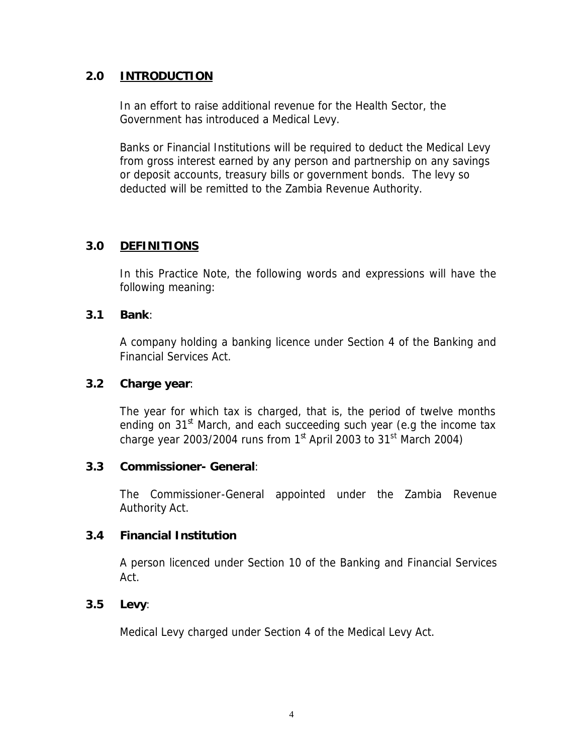## **2.0 INTRODUCTION**

In an effort to raise additional revenue for the Health Sector, the Government has introduced a Medical Levy.

Banks or Financial Institutions will be required to deduct the Medical Levy from gross interest earned by any person and partnership on any savings or deposit accounts, treasury bills or government bonds. The levy so deducted will be remitted to the Zambia Revenue Authority.

## **3.0 DEFINITIONS**

In this Practice Note, the following words and expressions will have the following meaning:

#### **3.1 Bank**:

A company holding a banking licence under Section 4 of the Banking and Financial Services Act.

#### **3.2 Charge year**:

The year for which tax is charged, that is, the period of twelve months ending on  $31<sup>st</sup>$  March, and each succeeding such year (e.g the income tax charge year 2003/2004 runs from  $1<sup>st</sup>$  April 2003 to 31<sup>st</sup> March 2004)

#### **3.3 Commissioner- General**:

The Commissioner-General appointed under the Zambia Revenue Authority Act.

#### **3.4 Financial Institution**

A person licenced under Section 10 of the Banking and Financial Services Act.

#### **3.5 Levy**:

Medical Levy charged under Section 4 of the Medical Levy Act.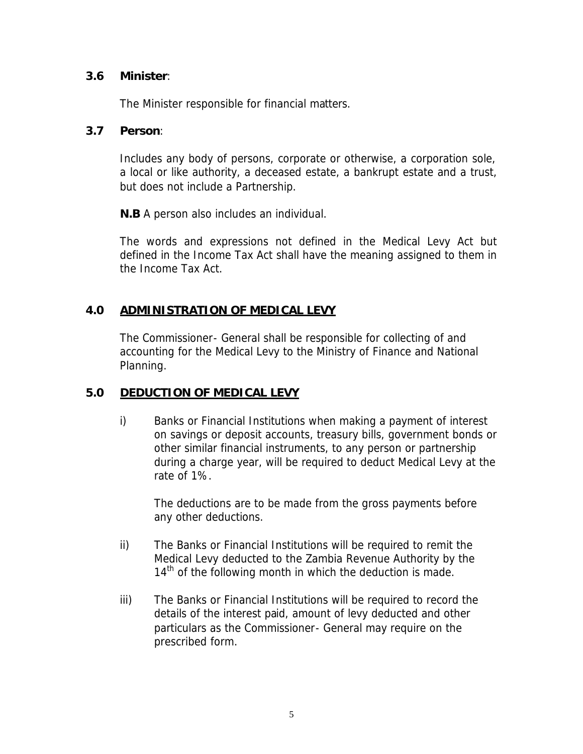## **3.6 Minister**:

The Minister responsible for financial matters.

#### **3.7 Person**:

Includes any body of persons, corporate or otherwise, a corporation sole, a local or like authority, a deceased estate, a bankrupt estate and a trust, but does not include a Partnership.

**N.B** A person also includes an individual.

The words and expressions not defined in the Medical Levy Act but defined in the Income Tax Act shall have the meaning assigned to them in the Income Tax Act.

# **4.0 ADMINISTRATION OF MEDICAL LEVY**

The Commissioner- General shall be responsible for collecting of and accounting for the Medical Levy to the Ministry of Finance and National Planning.

# **5.0 DEDUCTION OF MEDICAL LEVY**

i) Banks or Financial Institutions when making a payment of interest on savings or deposit accounts, treasury bills, government bonds or other similar financial instruments, to any person or partnership during a charge year, will be required to deduct Medical Levy at the rate of 1%.

The deductions are to be made from the gross payments before any other deductions.

- ii) The Banks or Financial Institutions will be required to remit the Medical Levy deducted to the Zambia Revenue Authority by the  $14<sup>th</sup>$  of the following month in which the deduction is made.
- iii) The Banks or Financial Institutions will be required to record the details of the interest paid, amount of levy deducted and other particulars as the Commissioner- General may require on the prescribed form.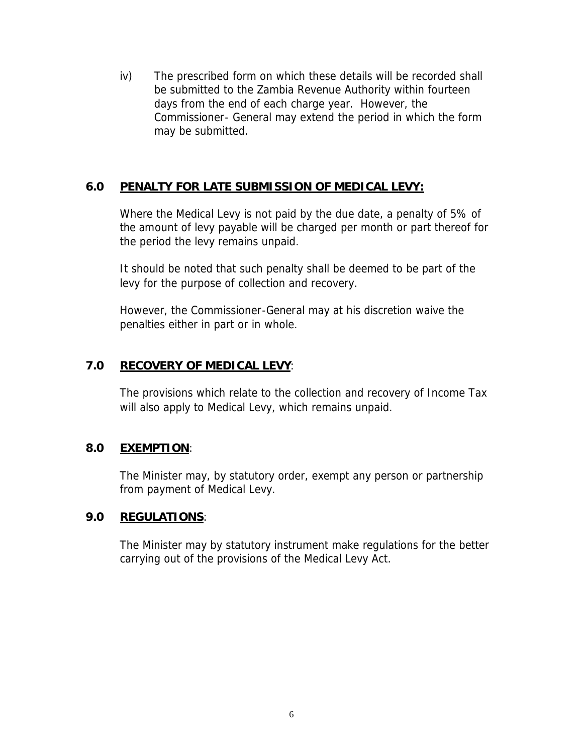iv) The prescribed form on which these details will be recorded shall be submitted to the Zambia Revenue Authority within fourteen days from the end of each charge year. However, the Commissioner- General may extend the period in which the form may be submitted.

# **6.0 PENALTY FOR LATE SUBMISSION OF MEDICAL LEVY:**

Where the Medical Levy is not paid by the due date, a penalty of 5% of the amount of levy payable will be charged per month or part thereof for the period the levy remains unpaid.

It should be noted that such penalty shall be deemed to be part of the levy for the purpose of collection and recovery.

However, the Commissioner-General may at his discretion waive the penalties either in part or in whole.

# **7.0 RECOVERY OF MEDICAL LEVY**:

The provisions which relate to the collection and recovery of Income Tax will also apply to Medical Levy, which remains unpaid.

#### **8.0 EXEMPTION**:

The Minister may, by statutory order, exempt any person or partnership from payment of Medical Levy.

#### **9.0 REGULATIONS**:

The Minister may by statutory instrument make regulations for the better carrying out of the provisions of the Medical Levy Act.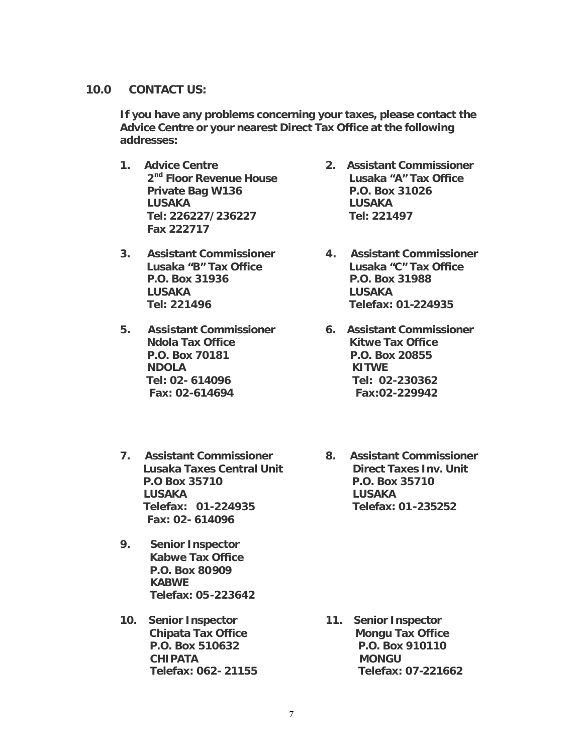#### **10.0 CONTACT US:**

**If you have any problems concerning your taxes, please contact the Advice Centre or your nearest Direct Tax Office at the following addresses:**

- **1. Advice Centre 2. Assistant Commissioner Private Bag W136 P.O. Box 31026 LUSAKA LUSAKA Tel: 226227/236227 Tel: 221497 Fax 222717**
- **3. Assistant Commissioner 4. Assistant Commissioner P.O. Box 31936 P.O. Box 31988 LUSAKA LUSAKA Tel: 221496 Telefax: 01-224935**
- **5. Assistant Commissioner 6. Assistant Commissioner Ndola Tax Office Kitwe Tax Office P.O. Box 70181 P.O. Box 20855 NDOLA KITWE Tel: 02- 614096 Tel: 02-230362 Fax: 02-614694 Fax:02-229942**
- **7. Assistant Commissioner 8. Assistant Commissioner P.O Box 35710 P.O. Box 35710 LUSAKA LUSAKA Telefax: 01-224935 Telefax: 01-235252 Fax: 02- 614096**
- **9. Senior Inspector Kabwe Tax Office P.O. Box 80909 KABWE Telefax: 05-223642**
- **10. Senior Inspector 11. Senior Inspector CHIPATA MONGU**
- **2nd Floor Revenue House Lusaka "A" Tax Office**
- **Lusaka "B" Tax Office Lusaka "C" Tax Office**
	-
- **Lusaka Taxes Central Unit Direct Taxes Inv. Unit**

**Chipata Tax Office Mongu Tax Office P.O. Box 510632 P.O. Box 910110 Telefax: 062- 21155 Telefax: 07-221662**